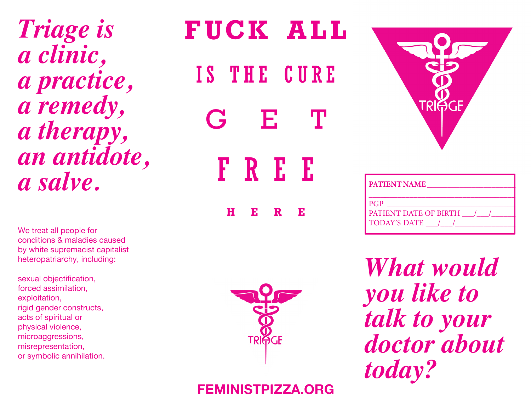*Triage is a clinic, a practice, a remedy, a therapy, an antidote, a salve.*

We treat all people for conditions & maladies caused by white supremacist capitalist heteropatriarchy, including:

sexual objectification, forced assimilation, exploitation, rigid gender constructs, acts of spiritual or physical violence, microaggressions, misrepresentation, or symbolic annihilation.

# **F U C K A L L**  IS THE CURE G F. FREE **HERE**





| <b>I PATIENT NAME</b>          |  |  |  |  |  |  |  |
|--------------------------------|--|--|--|--|--|--|--|
|                                |  |  |  |  |  |  |  |
| $I_{PGP}$                      |  |  |  |  |  |  |  |
| <b>PATIENT DATE OF BIRTH /</b> |  |  |  |  |  |  |  |
| TODAY'S DATE /                 |  |  |  |  |  |  |  |
|                                |  |  |  |  |  |  |  |

*What would you like to talk to your doctor about today?*

## **FEMINISTPIZZA.ORG**